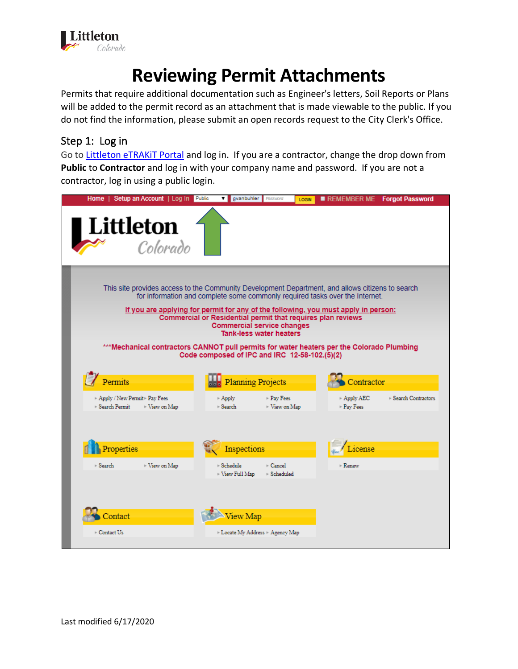

## **Reviewing Permit Attachments**

Permits that require additional documentation such as Engineer's letters, Soil Reports or Plans will be added to the permit record as an attachment that is made viewable to the public. If you do not find the information, please submit an open records request to the City Clerk's Office.

## Step 1: Log in

Go to [Littleton eTRAKiT Portal](https://permit9.littletongov.org/eTRAKiT) and log in. If you are a contractor, change the drop down from **Public** to **Contractor** and log in with your company name and password. If you are not a contractor, log in using a public login.

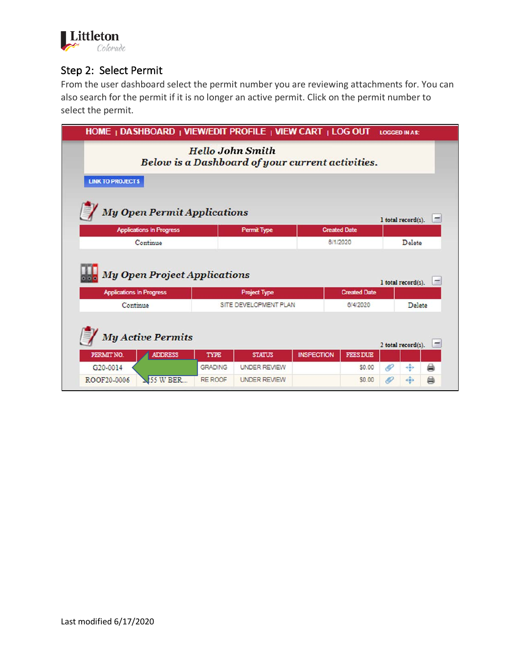

## Step 2: Select Permit

From the user dashboard select the permit number you are reviewing attachments for. You can also search for the permit if it is no longer an active permit. Click on the permit number to select the permit.

| HOME   DASHBOARD   VIEW/EDIT PROFILE   VIEW CART   LOG OUT             |                |                                                                             |                   |                     | <b>LOGGED IN AS:</b> |                    |   |  |
|------------------------------------------------------------------------|----------------|-----------------------------------------------------------------------------|-------------------|---------------------|----------------------|--------------------|---|--|
|                                                                        |                | <b>Hello John Smith</b><br>Below is a Dashboard of your current activities. |                   |                     |                      |                    |   |  |
| <b>LINK TO PROJECTS</b>                                                |                |                                                                             |                   |                     |                      |                    |   |  |
| <b>My Open Permit Applications</b>                                     |                |                                                                             |                   |                     |                      | 1 total record(s). |   |  |
| <b>Applications In Progress</b>                                        |                | <b>Permit Type</b>                                                          |                   | <b>Created Date</b> |                      |                    |   |  |
| Continue                                                               |                |                                                                             |                   | 6/1/2020            |                      | Delete             |   |  |
| <b>My Open Project Applications</b><br><b>Applications In Progress</b> |                | <b>Project Type</b>                                                         |                   | <b>Created Date</b> |                      | I total record(s). |   |  |
| Continue                                                               |                | SITE DEVELOPMENT PLAN                                                       |                   | 6/4/2020            |                      | Delete             |   |  |
|                                                                        |                |                                                                             |                   |                     |                      |                    |   |  |
|                                                                        |                |                                                                             |                   |                     |                      |                    |   |  |
| <b>My Active Permits</b>                                               |                |                                                                             |                   |                     |                      | 2 total record(s). |   |  |
| PERMIT NO.<br><b>ADDRESS</b>                                           | <b>TYPE</b>    | <b>STATUS</b>                                                               | <b>INSPECTION</b> | <b>FEES DUE</b>     |                      |                    |   |  |
| G <sub>20</sub> -0014                                                  | <b>GRADING</b> | <b>UNDER REVIEW</b>                                                         |                   | \$0.00              | í0                   | kâ)                | ₿ |  |